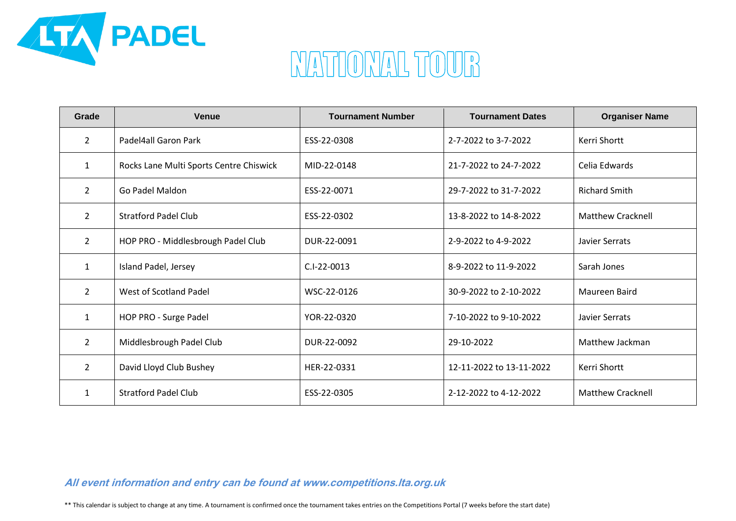

## MATIONAL TOUR

| Grade          | <b>Venue</b>                            | <b>Tournament Number</b> | <b>Tournament Dates</b>  | <b>Organiser Name</b>    |
|----------------|-----------------------------------------|--------------------------|--------------------------|--------------------------|
| $\overline{2}$ | Padel4all Garon Park                    | ESS-22-0308              | 2-7-2022 to 3-7-2022     | Kerri Shortt             |
| $\mathbf{1}$   | Rocks Lane Multi Sports Centre Chiswick | MID-22-0148              | 21-7-2022 to 24-7-2022   | Celia Edwards            |
| $\overline{2}$ | Go Padel Maldon                         | ESS-22-0071              | 29-7-2022 to 31-7-2022   | <b>Richard Smith</b>     |
| $\overline{2}$ | <b>Stratford Padel Club</b>             | ESS-22-0302              | 13-8-2022 to 14-8-2022   | <b>Matthew Cracknell</b> |
| $\overline{2}$ | HOP PRO - Middlesbrough Padel Club      | DUR-22-0091              | 2-9-2022 to 4-9-2022     | Javier Serrats           |
| $\mathbf{1}$   | Island Padel, Jersey                    | $C.I-22-0013$            | 8-9-2022 to 11-9-2022    | Sarah Jones              |
| $\overline{2}$ | West of Scotland Padel                  | WSC-22-0126              | 30-9-2022 to 2-10-2022   | Maureen Baird            |
| $\mathbf{1}$   | HOP PRO - Surge Padel                   | YOR-22-0320              | 7-10-2022 to 9-10-2022   | Javier Serrats           |
| $\overline{2}$ | Middlesbrough Padel Club                | DUR-22-0092              | 29-10-2022               | Matthew Jackman          |
| $\overline{2}$ | David Lloyd Club Bushey                 | HER-22-0331              | 12-11-2022 to 13-11-2022 | Kerri Shortt             |
| $\mathbf{1}$   | <b>Stratford Padel Club</b>             | ESS-22-0305              | 2-12-2022 to 4-12-2022   | <b>Matthew Cracknell</b> |

### **All event information and entry can be found at www.competitions.lta.org.uk**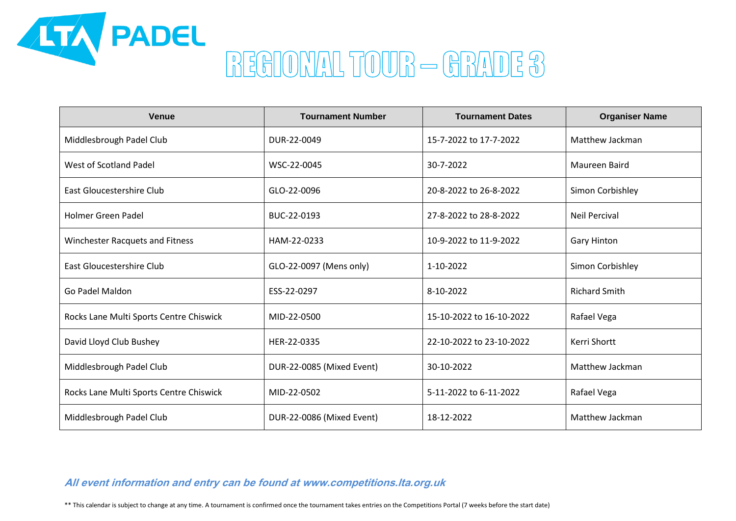

| <b>Venue</b>                            | <b>Tournament Number</b>  | <b>Tournament Dates</b>  | <b>Organiser Name</b> |
|-----------------------------------------|---------------------------|--------------------------|-----------------------|
| Middlesbrough Padel Club                | DUR-22-0049               | 15-7-2022 to 17-7-2022   | Matthew Jackman       |
| West of Scotland Padel                  | WSC-22-0045               | 30-7-2022                | Maureen Baird         |
| East Gloucestershire Club               | GLO-22-0096               | 20-8-2022 to 26-8-2022   | Simon Corbishley      |
| <b>Holmer Green Padel</b>               | BUC-22-0193               | 27-8-2022 to 28-8-2022   | <b>Neil Percival</b>  |
| Winchester Racquets and Fitness         | HAM-22-0233               | 10-9-2022 to 11-9-2022   | <b>Gary Hinton</b>    |
| East Gloucestershire Club               | GLO-22-0097 (Mens only)   | 1-10-2022                | Simon Corbishley      |
| Go Padel Maldon                         | ESS-22-0297               | 8-10-2022                | <b>Richard Smith</b>  |
| Rocks Lane Multi Sports Centre Chiswick | MID-22-0500               | 15-10-2022 to 16-10-2022 | Rafael Vega           |
| David Lloyd Club Bushey                 | HER-22-0335               | 22-10-2022 to 23-10-2022 | Kerri Shortt          |
| Middlesbrough Padel Club                | DUR-22-0085 (Mixed Event) | 30-10-2022               | Matthew Jackman       |
| Rocks Lane Multi Sports Centre Chiswick | MID-22-0502               | 5-11-2022 to 6-11-2022   | Rafael Vega           |
| Middlesbrough Padel Club                | DUR-22-0086 (Mixed Event) | 18-12-2022               | Matthew Jackman       |

#### **All event information and entry can be found at www.competitions.lta.org.uk**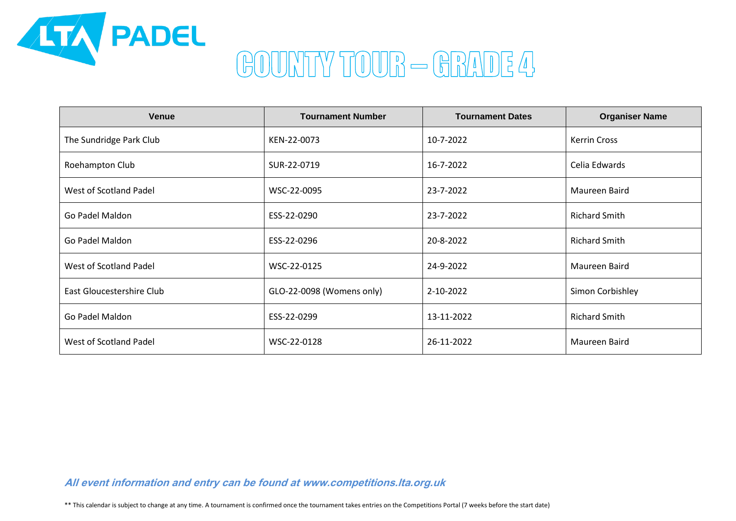

## GOUNTY TOUR - GRADE 4

| <b>Venue</b>              | <b>Tournament Number</b>  | <b>Tournament Dates</b> | <b>Organiser Name</b> |
|---------------------------|---------------------------|-------------------------|-----------------------|
| The Sundridge Park Club   | KEN-22-0073               | 10-7-2022               | <b>Kerrin Cross</b>   |
| Roehampton Club           | SUR-22-0719               | 16-7-2022               | Celia Edwards         |
| West of Scotland Padel    | WSC-22-0095               | 23-7-2022               | Maureen Baird         |
| Go Padel Maldon           | ESS-22-0290               | 23-7-2022               | <b>Richard Smith</b>  |
| Go Padel Maldon           | ESS-22-0296               | 20-8-2022               | <b>Richard Smith</b>  |
| West of Scotland Padel    | WSC-22-0125               | 24-9-2022               | Maureen Baird         |
| East Gloucestershire Club | GLO-22-0098 (Womens only) | 2-10-2022               | Simon Corbishley      |
| Go Padel Maldon           | ESS-22-0299               | 13-11-2022              | <b>Richard Smith</b>  |
| West of Scotland Padel    | WSC-22-0128               | 26-11-2022              | Maureen Baird         |

**All event information and entry can be found at www.competitions.lta.org.uk**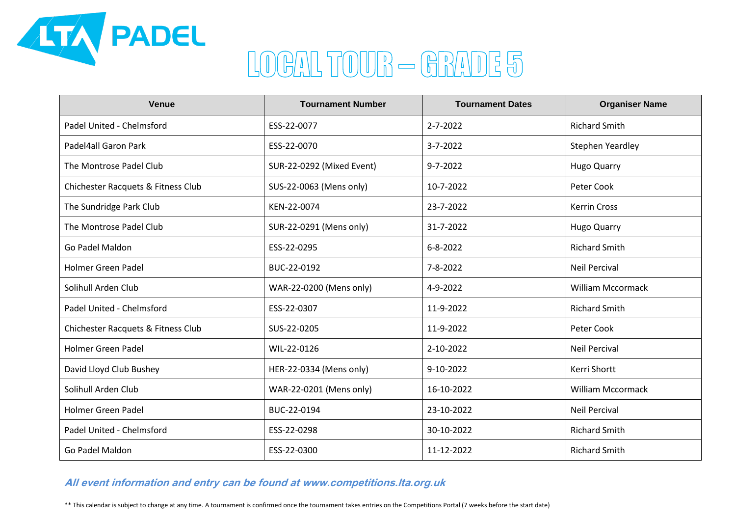

# LOGAL TOUR - GRADE 5

| <b>Venue</b>                       | <b>Tournament Number</b>  | <b>Tournament Dates</b> | <b>Organiser Name</b>    |
|------------------------------------|---------------------------|-------------------------|--------------------------|
| Padel United - Chelmsford          | ESS-22-0077               | $2 - 7 - 2022$          | <b>Richard Smith</b>     |
| Padel4all Garon Park               | ESS-22-0070               | $3 - 7 - 2022$          | Stephen Yeardley         |
| The Montrose Padel Club            | SUR-22-0292 (Mixed Event) | $9 - 7 - 2022$          | <b>Hugo Quarry</b>       |
| Chichester Racquets & Fitness Club | SUS-22-0063 (Mens only)   | 10-7-2022               | Peter Cook               |
| The Sundridge Park Club            | KEN-22-0074               | 23-7-2022               | <b>Kerrin Cross</b>      |
| The Montrose Padel Club            | SUR-22-0291 (Mens only)   | 31-7-2022               | <b>Hugo Quarry</b>       |
| Go Padel Maldon                    | ESS-22-0295               | $6 - 8 - 2022$          | <b>Richard Smith</b>     |
| <b>Holmer Green Padel</b>          | BUC-22-0192               | 7-8-2022                | <b>Neil Percival</b>     |
| Solihull Arden Club                | WAR-22-0200 (Mens only)   | 4-9-2022                | <b>William Mccormack</b> |
| Padel United - Chelmsford          | ESS-22-0307               | 11-9-2022               | <b>Richard Smith</b>     |
| Chichester Racquets & Fitness Club | SUS-22-0205               | 11-9-2022               | Peter Cook               |
| <b>Holmer Green Padel</b>          | WIL-22-0126               | 2-10-2022               | <b>Neil Percival</b>     |
| David Lloyd Club Bushey            | HER-22-0334 (Mens only)   | 9-10-2022               | Kerri Shortt             |
| Solihull Arden Club                | WAR-22-0201 (Mens only)   | 16-10-2022              | <b>William Mccormack</b> |
| <b>Holmer Green Padel</b>          | BUC-22-0194               | 23-10-2022              | <b>Neil Percival</b>     |
| Padel United - Chelmsford          | ESS-22-0298               | 30-10-2022              | <b>Richard Smith</b>     |
| Go Padel Maldon                    | ESS-22-0300               | 11-12-2022              | <b>Richard Smith</b>     |

### **All event information and entry can be found at www.competitions.lta.org.uk**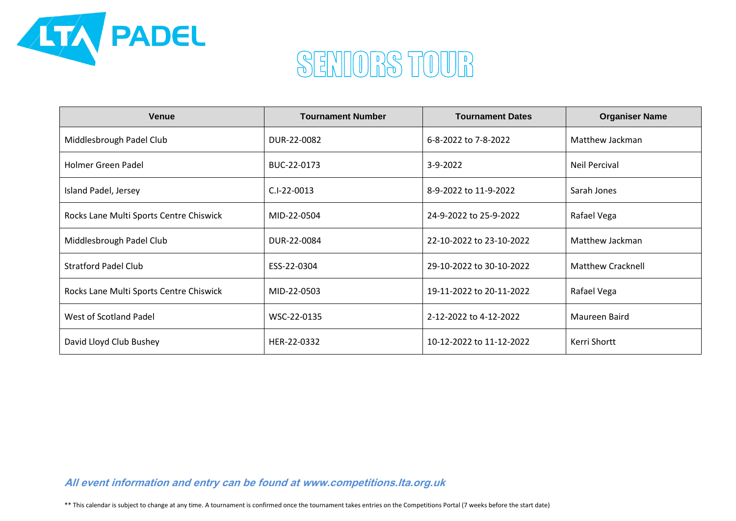

## SENIORS TOUR

| <b>Venue</b>                            | <b>Tournament Number</b> | <b>Tournament Dates</b>  | <b>Organiser Name</b>    |
|-----------------------------------------|--------------------------|--------------------------|--------------------------|
| Middlesbrough Padel Club                | DUR-22-0082              | 6-8-2022 to 7-8-2022     | Matthew Jackman          |
| Holmer Green Padel                      | BUC-22-0173              | $3-9-2022$               | Neil Percival            |
| Island Padel, Jersey                    | $C.I-22-0013$            | 8-9-2022 to 11-9-2022    | Sarah Jones              |
| Rocks Lane Multi Sports Centre Chiswick | MID-22-0504              | 24-9-2022 to 25-9-2022   | Rafael Vega              |
| Middlesbrough Padel Club                | DUR-22-0084              | 22-10-2022 to 23-10-2022 | Matthew Jackman          |
| <b>Stratford Padel Club</b>             | ESS-22-0304              | 29-10-2022 to 30-10-2022 | <b>Matthew Cracknell</b> |
| Rocks Lane Multi Sports Centre Chiswick | MID-22-0503              | 19-11-2022 to 20-11-2022 | Rafael Vega              |
| West of Scotland Padel                  | WSC-22-0135              | 2-12-2022 to 4-12-2022   | Maureen Baird            |
| David Lloyd Club Bushey                 | HER-22-0332              | 10-12-2022 to 11-12-2022 | Kerri Shortt             |

**All event information and entry can be found at www.competitions.lta.org.uk**